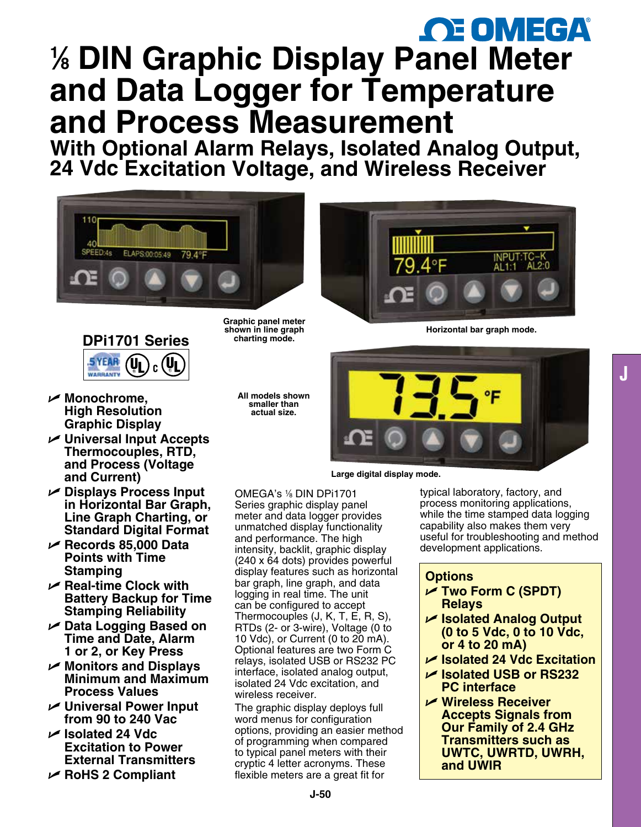# *CE OMEGA* **1 ⁄8 DIN Graphic Display [P](www.omega.com)ane[l](www.omega.com) [M](www.omega.com)e[t](www.omega.com)er and Data Logger for Temperature and Process Measurement**

**With Optional Alarm Relays, Isolated Analog Output, 24 Vdc Excitation Voltage, and Wireless Receiver**





- U **Monochrome, High Resolution Graphic Display**
- U **Universal Input Accepts Thermocouples, RTD, and Process (Voltage and Current)**
- U **Displays Process Input in Horizontal Bar Graph, Line Graph Charting, or Standard Digital Format**
- U **Records 85,000 Data Points with Time Stamping**
- U **Real-time Clock with Battery Backup for Time Stamping Reliability**
- U **Data Logging Based on Time and Date, Alarm 1 or 2, or Key Press**
- U **Monitors and Displays Minimum and Maximum Process Values**
- **∠** Universal Power Input **from 90 to 240 Vac**
- U **Isolated 24 Vdc Excitation to Power External Transmitters**
- U **RoHS 2 Compliant**

**Graphic panel meter shown in line graph charting mode.**

**All models shown smaller than actual size.**



**Horizontal bar graph mode.** 



**Large digital display mode.**

OMEGA's 1⁄8 DIN DPi1701 Series graphic display panel meter and data logger provides unmatched display functionality and performance. The high intensity, backlit, graphic display (240 x 64 dots) provides powerful display features such as horizontal bar graph, line graph, and data logging in real time. The unit can be configured to accept Thermocouples (J, K, T, E, R, S), RTDs (2- or 3-wire), Voltage (0 to 10 Vdc), or Current (0 to 20 mA). Optional features are two Form C relays, isolated USB or RS232 PC interface, isolated analog output, isolated 24 Vdc excitation, and wireless receiver.

The graphic display deploys full word menus for configuration options, providing an easier method of programming when compared to typical panel meters with their cryptic 4 letter acronyms. These flexible meters are a great fit for

typical laboratory, factory, and process monitoring applications, while the time stamped data logging capability also makes them very useful for troubleshooting and method development applications.

**J**

# **Options**

- U **Two Form C (SPDT) Relays**
- U **Isolated Analog Output (0 to 5 Vdc, 0 to 10 Vdc, or 4 to 20 mA)**
- U **Isolated 24 Vdc Excitation**
- U **Isolated USB or RS232 PC interface**
- U **Wireless Receiver Accepts Signals from Our Family of 2.4 GHz Transmitters such as UWTC, UWRTD, UWRH, and UWIR**